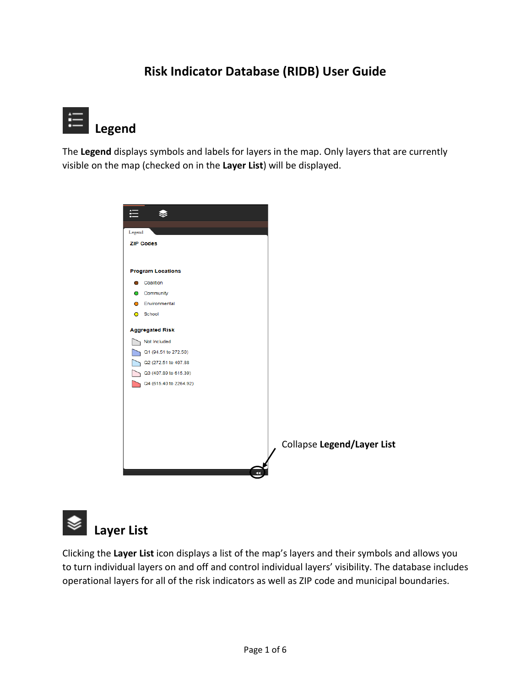### **Risk Indicator Database (RIDB) User Guide**



The **Legend** displays symbols and labels for layers in the map. Only layers that are currently visible on the map (checked on in the **Layer List**) will be displayed.



 **Layer List**

Clicking the **Layer List** icon displays a list of the map's layers and their symbols and allows you to turn individual layers on and off and control individual layers' visibility. The database includes operational layers for all of the risk indicators as well as ZIP code and municipal boundaries.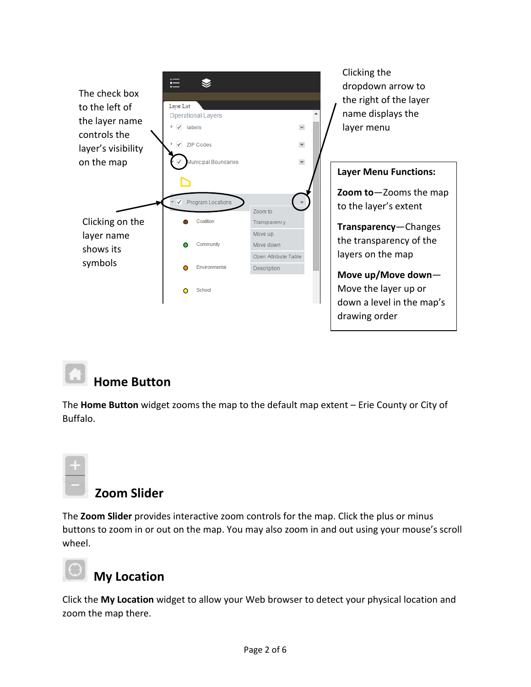

# **Home Button**

The **Home Button** widget zooms the map to the default map extent – Erie County or City of Buffalo.



### **Zoom Slider**

The **Zoom Slider** provides interactive zoom controls for the map. Click the plus or minus buttons to zoom in or out on the map. You may also zoom in and out using your mouse's scroll wheel.



## **My Location**

Click the **My Location** widget to allow your Web browser to detect your physical location and zoom the map there.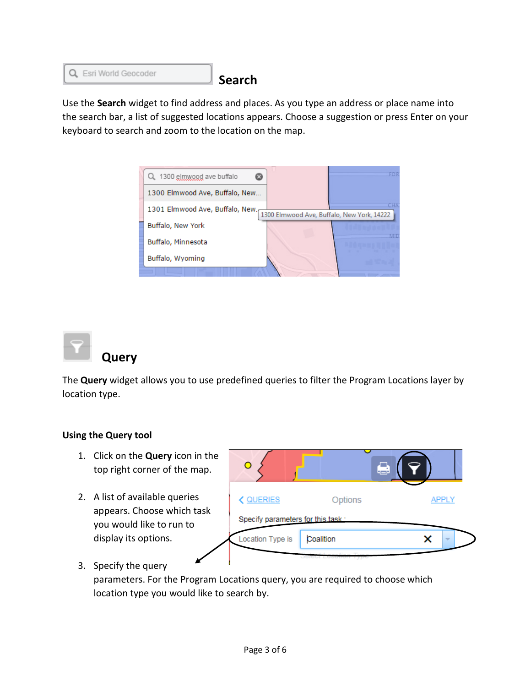

**Search**

Use the **Search** widget to find address and places. As you type an address or place name into the search bar, a list of suggested locations appears. Choose a suggestion or press Enter on your keyboard to search and zoom to the location on the map.





 **Query**

The **Query** widget allows you to use predefined queries to filter the Program Locations layer by location type.

### **Using the Query tool**

- 1. Click on the **Query** icon in the top right corner of the map.
- 2. A list of available queries appears. Choose which task you would like to run to display its options.



3. Specify the query

parameters. For the Program Locations query, you are required to choose which location type you would like to search by.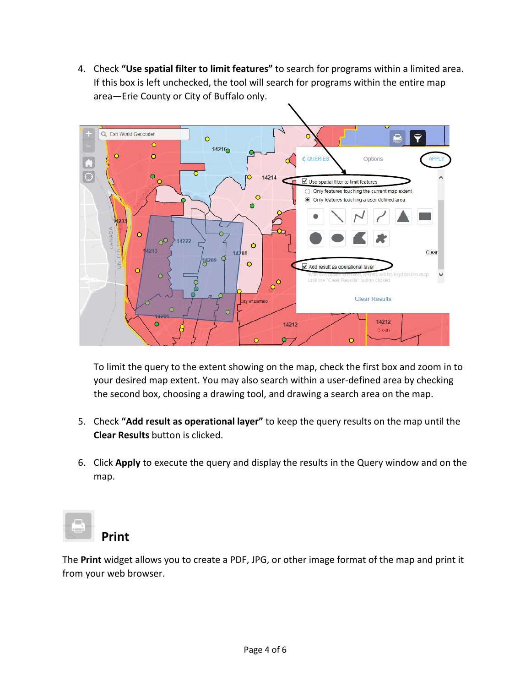4. Check **"Use spatial filter to limit features"** to search for programs within a limited area. If this box is left unchecked, the tool will search for programs within the entire map area—Erie County or City of Buffalo only.



To limit the query to the extent showing on the map, check the first box and zoom in to your desired map extent. You may also search within a user-defined area by checking the second box, choosing a drawing tool, and drawing a search area on the map.

- 5. Check **"Add result as operational layer"** to keep the query results on the map until the **Clear Results** button is clicked.
- 6. Click **Apply** to execute the query and display the results in the Query window and on the map.



**Print**

The **Print** widget allows you to create a PDF, JPG, or other image format of the map and print it from your web browser.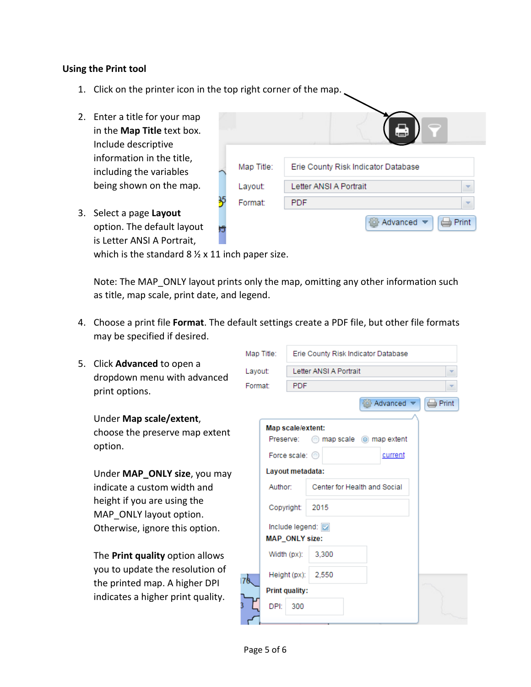#### **Using the Print tool**

- 1. Click on the printer icon in the top right corner of the map.
- 2. Enter a title for your map in the **Map Title** text box. Include descriptive information in the title, including the variables being shown on the map.

3. Select a page **Layout**

option. The default layout is Letter ANSI A Portrait,

| Map Title: | Erie County Risk Indicator Database                                |
|------------|--------------------------------------------------------------------|
| Layout:    | Letter ANSI A Portrait                                             |
| Format:    | <b>PDF</b>                                                         |
|            | Advanced $\blacktriangledown$<br>Print<br>$\overline{\phantom{0}}$ |

which is the standard  $8 \frac{1}{2} \times 11$  inch paper size.

Note: The MAP\_ONLY layout prints only the map, omitting any other information such as title, map scale, print date, and legend.

4. Choose a print file **Format**. The default settings create a PDF file, but other file formats may be specified if desired.

| 5.                                                                   | Map Title: | Erie County Risk Indicator Database                                    |                          |
|----------------------------------------------------------------------|------------|------------------------------------------------------------------------|--------------------------|
| Click Advanced to open a<br>dropdown menu with advanced              | Layout:    | Letter ANSI A Portrait                                                 | v                        |
| print options.                                                       | Format:    | <b>PDF</b>                                                             | $\overline{\phantom{a}}$ |
| Under Map scale/extent,<br>choose the preserve map extent<br>option. | Preserve:  | Advanced *<br>Map scale/extent:<br>map scale $\circledcirc$ map extent | <b>Print</b>             |
|                                                                      |            | Force scale: C<br>current                                              |                          |
| Under MAP_ONLY size, you may<br>indicate a custom width and          | Author:    | Layout metadata:<br>Center for Health and Social                       |                          |
| height if you are using the<br>MAP ONLY layout option.               |            | 2015<br>Copyright:                                                     |                          |
| Otherwise, ignore this option.                                       |            | Include legend:<br><b>MAP_ONLY size:</b>                               |                          |
| The <b>Print quality</b> option allows                               |            | 3,300<br>Width (px):                                                   |                          |
| you to update the resolution of<br>the printed map. A higher DPI     | 170.       | 2.550<br>Height (px):<br><b>Print quality:</b>                         |                          |
| indicates a higher print quality.                                    | DPI:       | 300                                                                    |                          |

#### Page 5 of 6